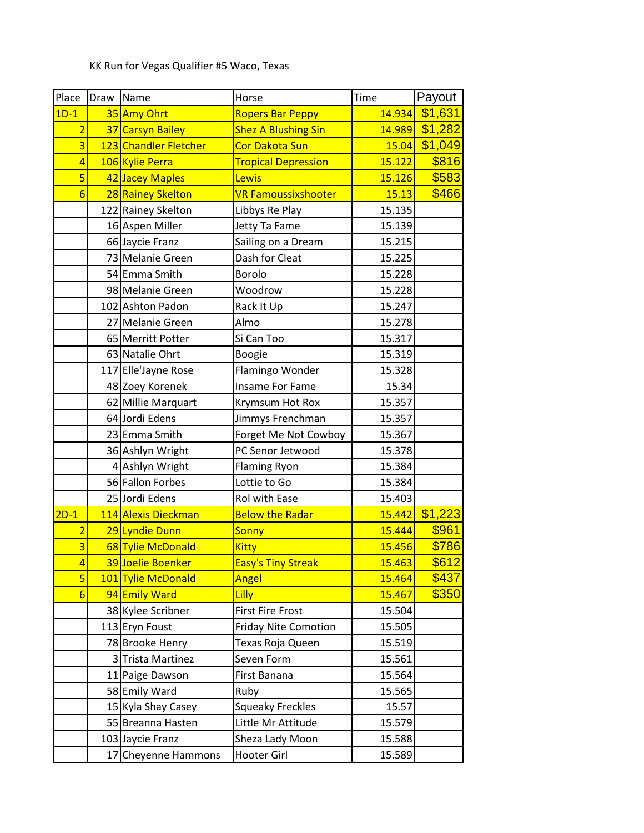KK Run for Vegas Qualifier #5 Waco, Texas

| Place           | Draw Name |                       | Horse                       | Time   | Payout  |
|-----------------|-----------|-----------------------|-----------------------------|--------|---------|
| $1D-1$          |           | 35 Amy Ohrt           | <b>Ropers Bar Peppy</b>     | 14.934 | \$1,631 |
| $\overline{2}$  |           | 37 Carsyn Bailey      | <b>Shez A Blushing Sin</b>  | 14.989 | \$1,282 |
| 3               |           | 123 Chandler Fletcher | <b>Cor Dakota Sun</b>       | 15.04  | \$1,049 |
| $\overline{4}$  |           | 106 Kylie Perra       | <b>Tropical Depression</b>  | 15.122 | \$816   |
| 5               |           | 42 Jacey Maples       | Lewis                       | 15.126 | \$583   |
| $6\overline{6}$ |           | 28 Rainey Skelton     | <b>VR Famoussixshooter</b>  | 15.13  | \$466   |
|                 |           | 122 Rainey Skelton    | Libbys Re Play              | 15.135 |         |
|                 |           | 16 Aspen Miller       | Jetty Ta Fame               | 15.139 |         |
|                 |           | 66 Jaycie Franz       | Sailing on a Dream          | 15.215 |         |
|                 |           | 73 Melanie Green      | Dash for Cleat              | 15.225 |         |
|                 |           | 54 Emma Smith         | Borolo                      | 15.228 |         |
|                 |           | 98 Melanie Green      | Woodrow                     | 15.228 |         |
|                 |           | 102 Ashton Padon      | Rack It Up                  | 15.247 |         |
|                 |           | 27 Melanie Green      | Almo                        | 15.278 |         |
|                 |           | 65 Merritt Potter     | Si Can Too                  | 15.317 |         |
|                 |           | 63 Natalie Ohrt       | Boogie                      | 15.319 |         |
|                 |           | 117 Elle'Jayne Rose   | Flamingo Wonder             | 15.328 |         |
|                 |           | 48 Zoey Korenek       | Insame For Fame             | 15.34  |         |
|                 |           | 62 Millie Marquart    | Krymsum Hot Rox             | 15.357 |         |
|                 |           | 64 Jordi Edens        | Jimmys Frenchman            | 15.357 |         |
|                 |           | 23 Emma Smith         | Forget Me Not Cowboy        | 15.367 |         |
|                 |           | 36 Ashlyn Wright      | PC Senor Jetwood            | 15.378 |         |
|                 |           | 4 Ashlyn Wright       | <b>Flaming Ryon</b>         | 15.384 |         |
|                 |           | 56 Fallon Forbes      | Lottie to Go                | 15.384 |         |
|                 |           | 25 Jordi Edens        | Rol with Ease               | 15.403 |         |
| $2D-1$          |           | 114 Alexis Dieckman   | <b>Below the Radar</b>      | 15.442 | \$1,223 |
| $\overline{2}$  |           | 29 Lyndie Dunn        | Sonny                       | 15.444 | \$961   |
| $\overline{3}$  |           | 68 Tylie McDonald     | <b>Kitty</b>                | 15.456 | \$786   |
| 4               |           | 39 Joelie Boenker     | <b>Easy's Tiny Streak</b>   | 15.463 | \$612   |
| $\overline{5}$  |           | 101 Tylie McDonald    | Angel                       | 15.464 | \$437   |
| $6\overline{6}$ |           | 94 Emily Ward         | Lilly                       | 15.467 | \$350   |
|                 |           | 38 Kylee Scribner     | <b>First Fire Frost</b>     | 15.504 |         |
|                 |           | 113 Eryn Foust        | <b>Friday Nite Comotion</b> | 15.505 |         |
|                 |           | 78 Brooke Henry       | Texas Roja Queen            | 15.519 |         |
|                 |           | 3 Trista Martinez     | Seven Form                  | 15.561 |         |
|                 |           | 11 Paige Dawson       | First Banana                | 15.564 |         |
|                 |           | 58 Emily Ward         | Ruby                        | 15.565 |         |
|                 |           | 15 Kyla Shay Casey    | <b>Squeaky Freckles</b>     | 15.57  |         |
|                 |           | 55 Breanna Hasten     | Little Mr Attitude          | 15.579 |         |
|                 |           | 103 Jaycie Franz      | Sheza Lady Moon             | 15.588 |         |
|                 |           | 17 Cheyenne Hammons   | Hooter Girl                 | 15.589 |         |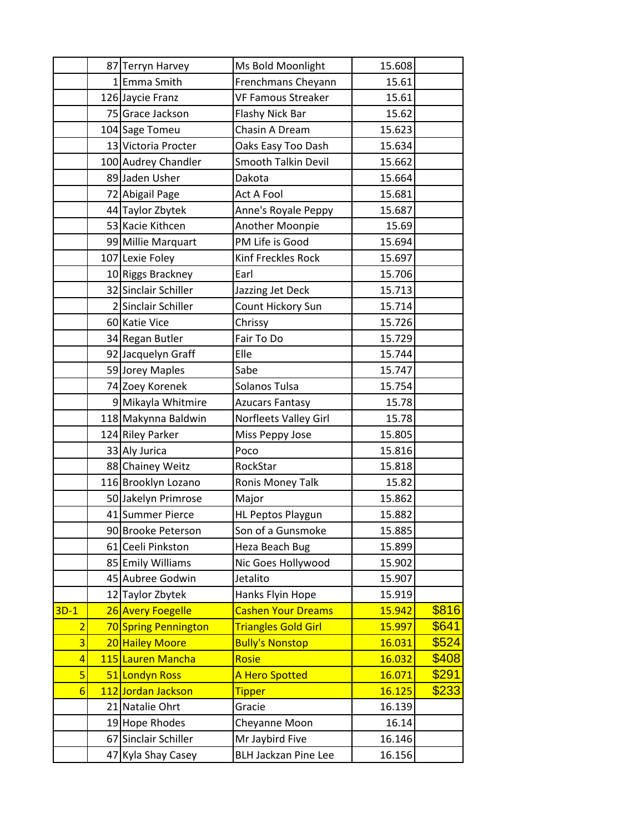|                 |    | 87 Terryn Harvey     | Ms Bold Moonlight           | 15.608 |       |
|-----------------|----|----------------------|-----------------------------|--------|-------|
|                 |    | 1 Emma Smith         | Frenchmans Cheyann          | 15.61  |       |
|                 |    | 126 Jaycie Franz     | <b>VF Famous Streaker</b>   | 15.61  |       |
|                 |    | 75 Grace Jackson     | Flashy Nick Bar             | 15.62  |       |
|                 |    | 104 Sage Tomeu       | Chasin A Dream              | 15.623 |       |
|                 |    | 13 Victoria Procter  | Oaks Easy Too Dash          | 15.634 |       |
|                 |    | 100 Audrey Chandler  | Smooth Talkin Devil         | 15.662 |       |
|                 |    | 89 Jaden Usher       | Dakota                      | 15.664 |       |
|                 |    | 72 Abigail Page      | <b>Act A Fool</b>           | 15.681 |       |
|                 |    | 44 Taylor Zbytek     | Anne's Royale Peppy         | 15.687 |       |
|                 |    | 53 Kacie Kithcen     | Another Moonpie             | 15.69  |       |
|                 |    | 99 Millie Marquart   | PM Life is Good             | 15.694 |       |
|                 |    | 107 Lexie Foley      | Kinf Freckles Rock          | 15.697 |       |
|                 |    | 10 Riggs Brackney    | Earl                        | 15.706 |       |
|                 |    | 32 Sinclair Schiller | Jazzing Jet Deck            | 15.713 |       |
|                 |    | 2 Sinclair Schiller  | Count Hickory Sun           | 15.714 |       |
|                 |    | 60 Katie Vice        | Chrissy                     | 15.726 |       |
|                 |    | 34 Regan Butler      | Fair To Do                  | 15.729 |       |
|                 |    | 92 Jacquelyn Graff   | Elle                        | 15.744 |       |
|                 |    | 59 Jorey Maples      | Sabe                        | 15.747 |       |
|                 |    | 74 Zoey Korenek      | Solanos Tulsa               | 15.754 |       |
|                 |    | 9 Mikayla Whitmire   | <b>Azucars Fantasy</b>      | 15.78  |       |
|                 |    | 118 Makynna Baldwin  | Norfleets Valley Girl       | 15.78  |       |
|                 |    | 124 Riley Parker     | Miss Peppy Jose             | 15.805 |       |
|                 |    | 33 Aly Jurica        | Poco                        | 15.816 |       |
|                 |    | 88 Chainey Weitz     | RockStar                    | 15.818 |       |
|                 |    | 116 Brooklyn Lozano  | Ronis Money Talk            | 15.82  |       |
|                 |    | 50 Jakelyn Primrose  | Major                       | 15.862 |       |
|                 |    | 41 Summer Pierce     | HL Peptos Playgun           | 15.882 |       |
|                 |    | 90 Brooke Peterson   | Son of a Gunsmoke           | 15.885 |       |
|                 |    | 61 Ceeli Pinkston    | Heza Beach Bug              | 15.899 |       |
|                 |    | 85 Emily Williams    | Nic Goes Hollywood          | 15.902 |       |
|                 |    | 45 Aubree Godwin     | Jetalito                    | 15.907 |       |
|                 |    | 12 Taylor Zbytek     | Hanks Flyin Hope            | 15.919 |       |
| $3D-1$          |    | 26 Avery Foegelle    | <b>Cashen Your Dreams</b>   | 15.942 | \$816 |
| $\overline{2}$  |    | 70 Spring Pennington | <b>Triangles Gold Girl</b>  | 15.997 | \$641 |
| $\overline{3}$  |    | 20 Hailey Moore      | <b>Bully's Nonstop</b>      | 16.031 | \$524 |
| $\overline{4}$  |    | 115 Lauren Mancha    | Rosie                       | 16.032 | \$408 |
| $\overline{5}$  |    | 51 Londyn Ross       | <b>A Hero Spotted</b>       | 16.071 | \$291 |
| $6\overline{6}$ |    | 112 Jordan Jackson   | <b>Tipper</b>               | 16.125 | \$233 |
|                 |    | 21 Natalie Ohrt      | Gracie                      | 16.139 |       |
|                 |    | 19 Hope Rhodes       | Cheyanne Moon               | 16.14  |       |
|                 |    | 67 Sinclair Schiller | Mr Jaybird Five             | 16.146 |       |
|                 | 47 | Kyla Shay Casey      | <b>BLH Jackzan Pine Lee</b> | 16.156 |       |